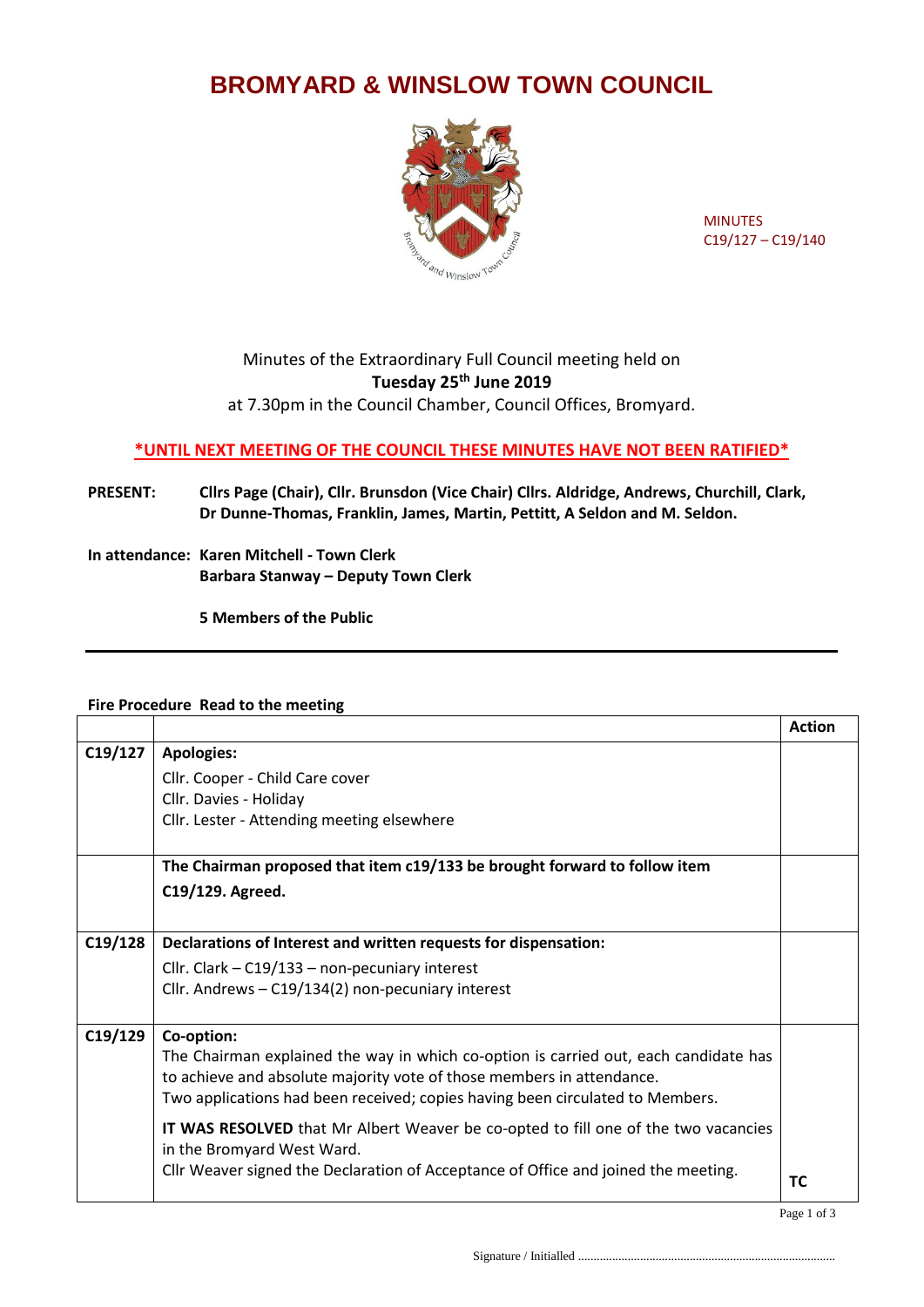## **BROMYARD & WINSLOW TOWN COUNCIL**



MINUTES C19/127 – C19/140

## Minutes of the Extraordinary Full Council meeting held on **Tuesday 25th June 2019**

at 7.30pm in the Council Chamber, Council Offices, Bromyard.

## **\*UNTIL NEXT MEETING OF THE COUNCIL THESE MINUTES HAVE NOT BEEN RATIFIED\***

- **PRESENT: Cllrs Page (Chair), Cllr. Brunsdon (Vice Chair) Cllrs. Aldridge, Andrews, Churchill, Clark, Dr Dunne-Thomas, Franklin, James, Martin, Pettitt, A Seldon and M. Seldon.**
- **In attendance: Karen Mitchell - Town Clerk Barbara Stanway – Deputy Town Clerk**

**5 Members of the Public**

## **Fire Procedure Read to the meeting**

|         |                                                                                      | <b>Action</b> |
|---------|--------------------------------------------------------------------------------------|---------------|
| C19/127 | <b>Apologies:</b>                                                                    |               |
|         | Cllr. Cooper - Child Care cover                                                      |               |
|         | Cllr. Davies - Holiday                                                               |               |
|         | Cllr. Lester - Attending meeting elsewhere                                           |               |
|         |                                                                                      |               |
|         | The Chairman proposed that item c19/133 be brought forward to follow item            |               |
|         | C19/129. Agreed.                                                                     |               |
|         |                                                                                      |               |
| C19/128 | Declarations of Interest and written requests for dispensation:                      |               |
|         | Cllr. Clark - C19/133 - non-pecuniary interest                                       |               |
|         | Cllr. Andrews - C19/134(2) non-pecuniary interest                                    |               |
|         |                                                                                      |               |
| C19/129 | Co-option:                                                                           |               |
|         | The Chairman explained the way in which co-option is carried out, each candidate has |               |
|         | to achieve and absolute majority vote of those members in attendance.                |               |
|         | Two applications had been received; copies having been circulated to Members.        |               |
|         | IT WAS RESOLVED that Mr Albert Weaver be co-opted to fill one of the two vacancies   |               |
|         | in the Bromyard West Ward.                                                           |               |
|         | Cllr Weaver signed the Declaration of Acceptance of Office and joined the meeting.   | ТC            |
|         |                                                                                      |               |

Signature / Initialled ...................................................................................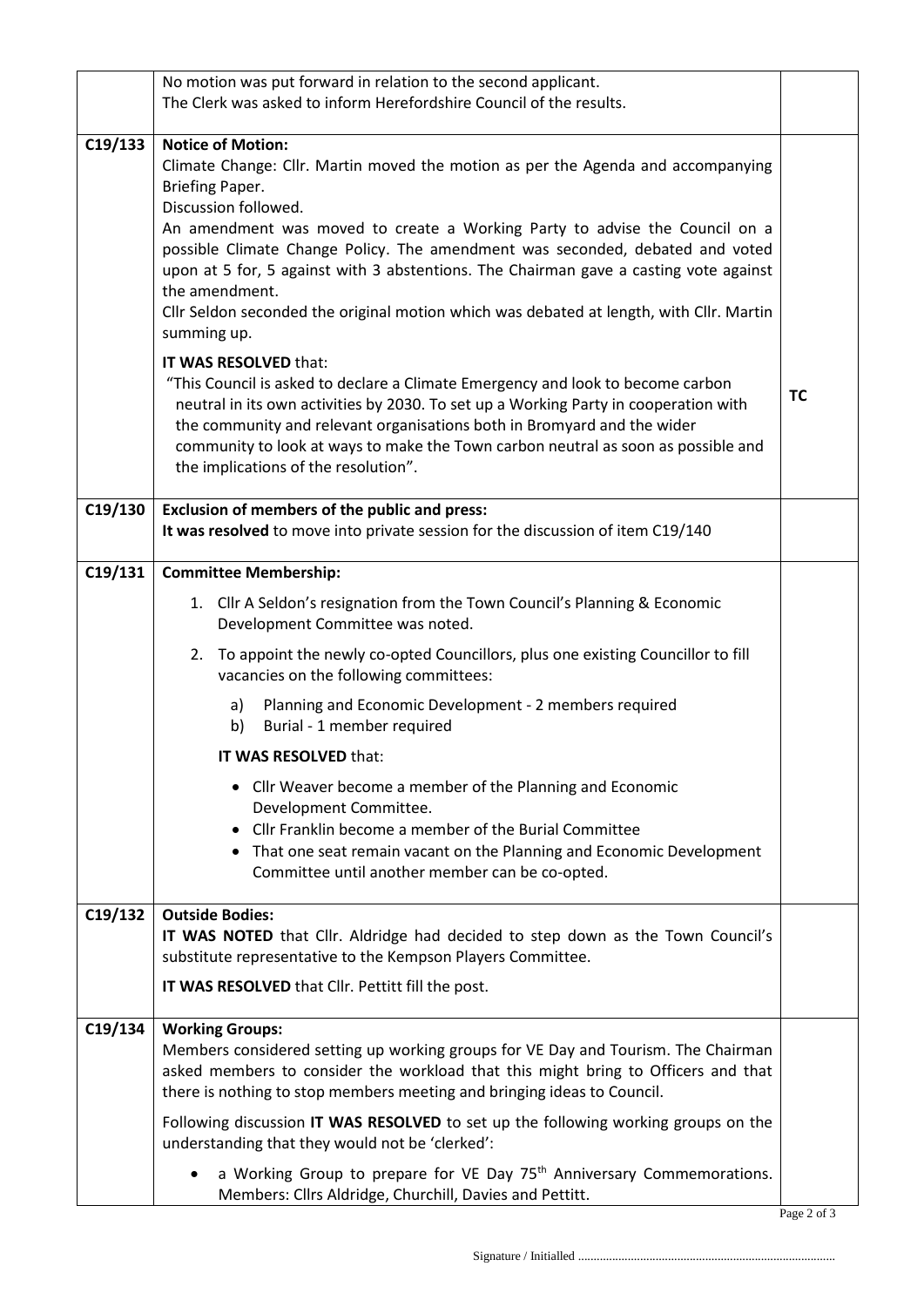|         | No motion was put forward in relation to the second applicant.<br>The Clerk was asked to inform Herefordshire Council of the results.                                                                                                                                                                                                                                                                                                                                                                                                        |           |
|---------|----------------------------------------------------------------------------------------------------------------------------------------------------------------------------------------------------------------------------------------------------------------------------------------------------------------------------------------------------------------------------------------------------------------------------------------------------------------------------------------------------------------------------------------------|-----------|
| C19/133 | <b>Notice of Motion:</b><br>Climate Change: Cllr. Martin moved the motion as per the Agenda and accompanying<br>Briefing Paper.<br>Discussion followed.<br>An amendment was moved to create a Working Party to advise the Council on a<br>possible Climate Change Policy. The amendment was seconded, debated and voted<br>upon at 5 for, 5 against with 3 abstentions. The Chairman gave a casting vote against<br>the amendment.<br>Cllr Seldon seconded the original motion which was debated at length, with Cllr. Martin<br>summing up. |           |
|         | IT WAS RESOLVED that:<br>"This Council is asked to declare a Climate Emergency and look to become carbon<br>neutral in its own activities by 2030. To set up a Working Party in cooperation with<br>the community and relevant organisations both in Bromyard and the wider<br>community to look at ways to make the Town carbon neutral as soon as possible and<br>the implications of the resolution".                                                                                                                                     | <b>TC</b> |
| C19/130 | Exclusion of members of the public and press:<br>It was resolved to move into private session for the discussion of item C19/140                                                                                                                                                                                                                                                                                                                                                                                                             |           |
| C19/131 | <b>Committee Membership:</b>                                                                                                                                                                                                                                                                                                                                                                                                                                                                                                                 |           |
|         | 1. Cllr A Seldon's resignation from the Town Council's Planning & Economic<br>Development Committee was noted.                                                                                                                                                                                                                                                                                                                                                                                                                               |           |
|         | 2. To appoint the newly co-opted Councillors, plus one existing Councillor to fill<br>vacancies on the following committees:                                                                                                                                                                                                                                                                                                                                                                                                                 |           |
|         | Planning and Economic Development - 2 members required<br>a)<br>Burial - 1 member required<br>b)                                                                                                                                                                                                                                                                                                                                                                                                                                             |           |
|         | IT WAS RESOLVED that:                                                                                                                                                                                                                                                                                                                                                                                                                                                                                                                        |           |
|         | • Cllr Weaver become a member of the Planning and Economic<br>Development Committee.<br>• Cllr Franklin become a member of the Burial Committee<br>• That one seat remain vacant on the Planning and Economic Development<br>Committee until another member can be co-opted.                                                                                                                                                                                                                                                                 |           |
| C19/132 | <b>Outside Bodies:</b>                                                                                                                                                                                                                                                                                                                                                                                                                                                                                                                       |           |
|         | IT WAS NOTED that Cllr. Aldridge had decided to step down as the Town Council's<br>substitute representative to the Kempson Players Committee.                                                                                                                                                                                                                                                                                                                                                                                               |           |
|         | IT WAS RESOLVED that Cllr. Pettitt fill the post.                                                                                                                                                                                                                                                                                                                                                                                                                                                                                            |           |
| C19/134 | <b>Working Groups:</b><br>Members considered setting up working groups for VE Day and Tourism. The Chairman<br>asked members to consider the workload that this might bring to Officers and that<br>there is nothing to stop members meeting and bringing ideas to Council.                                                                                                                                                                                                                                                                  |           |
|         | Following discussion IT WAS RESOLVED to set up the following working groups on the<br>understanding that they would not be 'clerked':                                                                                                                                                                                                                                                                                                                                                                                                        |           |
|         | a Working Group to prepare for VE Day 75 <sup>th</sup> Anniversary Commemorations.<br>Members: Cllrs Aldridge, Churchill, Davies and Pettitt.                                                                                                                                                                                                                                                                                                                                                                                                |           |

Page 2 of 3